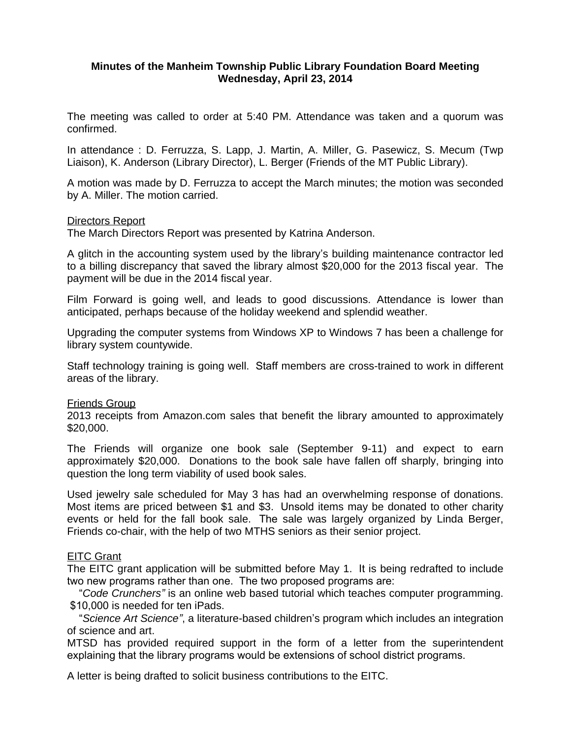# **Minutes of the Manheim Township Public Library Foundation Board Meeting Wednesday, April 23, 2014**

The meeting was called to order at 5:40 PM. Attendance was taken and a quorum was confirmed.

In attendance : D. Ferruzza, S. Lapp, J. Martin, A. Miller, G. Pasewicz, S. Mecum (Twp Liaison), K. Anderson (Library Director), L. Berger (Friends of the MT Public Library).

A motion was made by D. Ferruzza to accept the March minutes; the motion was seconded by A. Miller. The motion carried.

### Directors Report

The March Directors Report was presented by Katrina Anderson.

A glitch in the accounting system used by the library's building maintenance contractor led to a billing discrepancy that saved the library almost \$20,000 for the 2013 fiscal year. The payment will be due in the 2014 fiscal year.

Film Forward is going well, and leads to good discussions. Attendance is lower than anticipated, perhaps because of the holiday weekend and splendid weather.

Upgrading the computer systems from Windows XP to Windows 7 has been a challenge for library system countywide.

Staff technology training is going well. Staff members are cross-trained to work in different areas of the library.

### Friends Group

2013 receipts from Amazon.com sales that benefit the library amounted to approximately \$20,000.

The Friends will organize one book sale (September 9-11) and expect to earn approximately \$20,000. Donations to the book sale have fallen off sharply, bringing into question the long term viability of used book sales.

Used jewelry sale scheduled for May 3 has had an overwhelming response of donations. Most items are priced between \$1 and \$3. Unsold items may be donated to other charity events or held for the fall book sale. The sale was largely organized by Linda Berger, Friends co-chair, with the help of two MTHS seniors as their senior project.

# **EITC Grant**

The EITC grant application will be submitted before May 1. It is being redrafted to include two new programs rather than one. The two proposed programs are:

 "*Code Crunchers"* is an online web based tutorial which teaches computer programming. \$10,000 is needed for ten iPads.

 "*Science Art Science"*, a literature-based children's program which includes an integration of science and art.

MTSD has provided required support in the form of a letter from the superintendent explaining that the library programs would be extensions of school district programs.

A letter is being drafted to solicit business contributions to the EITC.